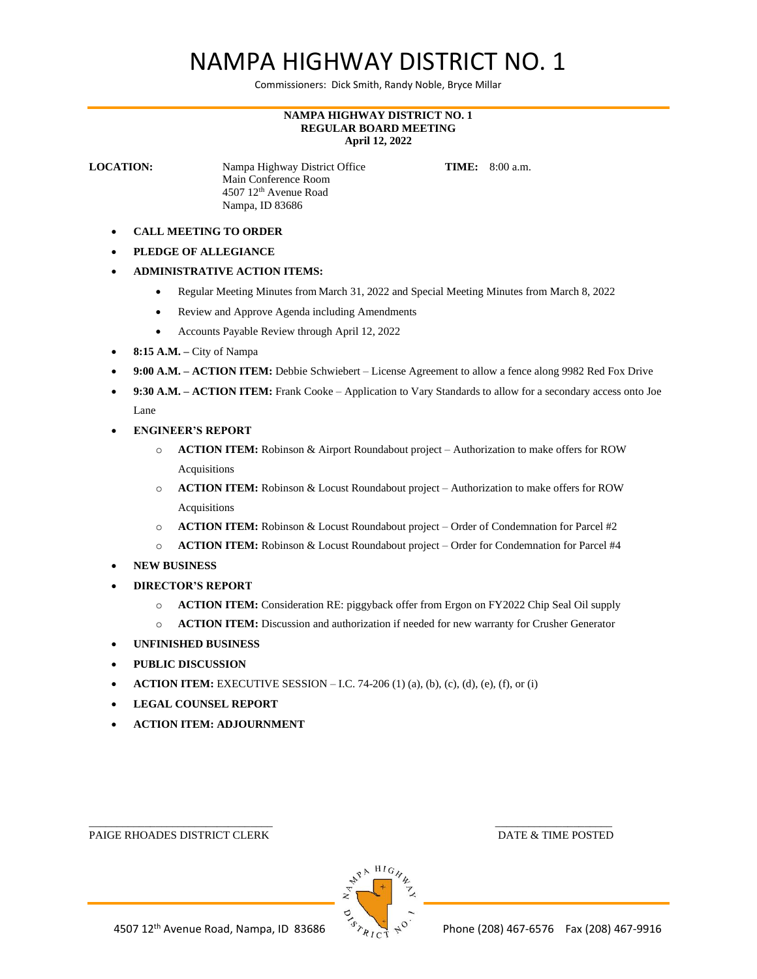## NAMPA HIGHWAY DISTRICT NO. 1

Commissioners: Dick Smith, Randy Noble, Bryce Millar

## **NAMPA HIGHWAY DISTRICT NO. 1 REGULAR BOARD MEETING April 12, 2022**

**LOCATION:** Nampa Highway District Office **TIME:** 8:00 a.m. Main Conference Room 4507 12th Avenue Road Nampa, ID 83686

- **CALL MEETING TO ORDER**
- **PLEDGE OF ALLEGIANCE**
- **ADMINISTRATIVE ACTION ITEMS:**
	- Regular Meeting Minutes from March 31, 2022 and Special Meeting Minutes from March 8, 2022
	- Review and Approve Agenda including Amendments
	- Accounts Payable Review through April 12, 2022
- **8:15 A.M. –** City of Nampa
- **9:00 A.M. – ACTION ITEM:** Debbie Schwiebert License Agreement to allow a fence along 9982 Red Fox Drive
- **9:30 A.M. – ACTION ITEM:** Frank Cooke Application to Vary Standards to allow for a secondary access onto Joe Lane
- **ENGINEER'S REPORT**
	- o **ACTION ITEM:** Robinson & Airport Roundabout project Authorization to make offers for ROW Acquisitions
	- o **ACTION ITEM:** Robinson & Locust Roundabout project Authorization to make offers for ROW Acquisitions
	- o **ACTION ITEM:** Robinson & Locust Roundabout project Order of Condemnation for Parcel #2
	- o **ACTION ITEM:** Robinson & Locust Roundabout project Order for Condemnation for Parcel #4
- **NEW BUSINESS**
- **DIRECTOR'S REPORT**
	- o **ACTION ITEM:** Consideration RE: piggyback offer from Ergon on FY2022 Chip Seal Oil supply
	- o **ACTION ITEM:** Discussion and authorization if needed for new warranty for Crusher Generator
- **UNFINISHED BUSINESS**
- **PUBLIC DISCUSSION**
- **ACTION ITEM:** EXECUTIVE SESSION I.C. 74-206 (1) (a), (b), (c), (d), (e), (f), or (i)
- **LEGAL COUNSEL REPORT**
- **ACTION ITEM: ADJOURNMENT**

PAIGE RHOADES DISTRICT CLERK DATE & TIME POSTED



 $\overline{\phantom{a}}$  , and the contract of the contract of the contract of the contract of the contract of the contract of the contract of the contract of the contract of the contract of the contract of the contract of the contrac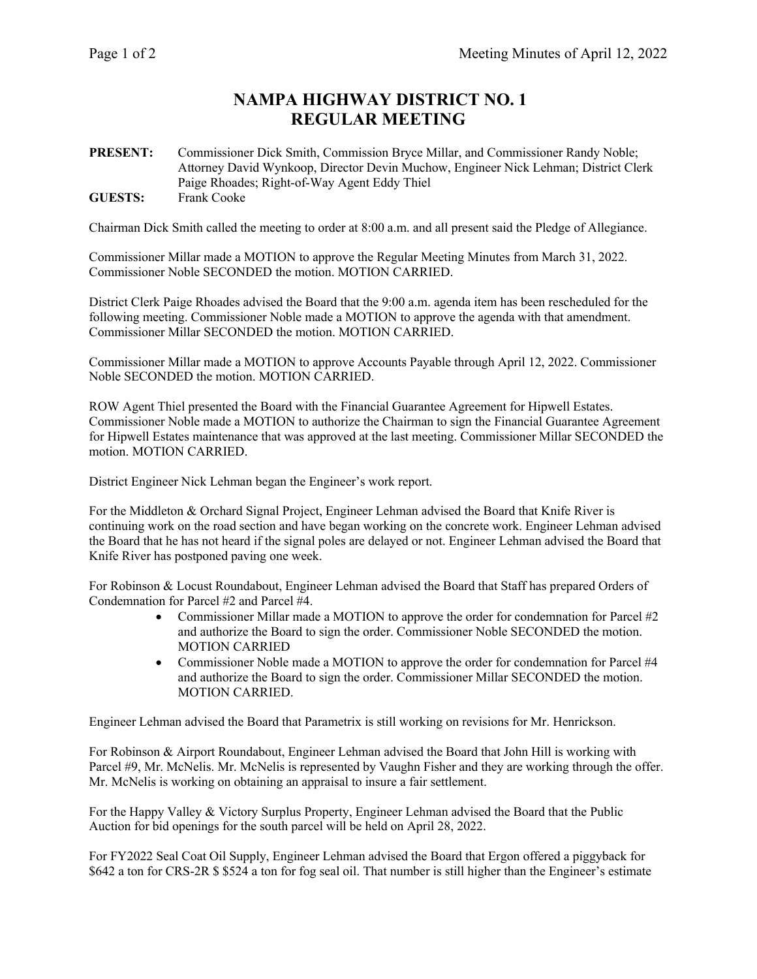## **NAMPA HIGHWAY DISTRICT NO. 1 REGULAR MEETING**

**PRESENT:** Commissioner Dick Smith, Commission Bryce Millar, and Commissioner Randy Noble; Attorney David Wynkoop, Director Devin Muchow, Engineer Nick Lehman; District Clerk Paige Rhoades; Right-of-Way Agent Eddy Thiel **GUESTS:** Frank Cooke

Chairman Dick Smith called the meeting to order at 8:00 a.m. and all present said the Pledge of Allegiance.

Commissioner Millar made a MOTION to approve the Regular Meeting Minutes from March 31, 2022. Commissioner Noble SECONDED the motion. MOTION CARRIED.

District Clerk Paige Rhoades advised the Board that the 9:00 a.m. agenda item has been rescheduled for the following meeting. Commissioner Noble made a MOTION to approve the agenda with that amendment. Commissioner Millar SECONDED the motion. MOTION CARRIED.

Commissioner Millar made a MOTION to approve Accounts Payable through April 12, 2022. Commissioner Noble SECONDED the motion. MOTION CARRIED.

ROW Agent Thiel presented the Board with the Financial Guarantee Agreement for Hipwell Estates. Commissioner Noble made a MOTION to authorize the Chairman to sign the Financial Guarantee Agreement for Hipwell Estates maintenance that was approved at the last meeting. Commissioner Millar SECONDED the motion. MOTION CARRIED.

District Engineer Nick Lehman began the Engineer's work report.

For the Middleton & Orchard Signal Project, Engineer Lehman advised the Board that Knife River is continuing work on the road section and have began working on the concrete work. Engineer Lehman advised the Board that he has not heard if the signal poles are delayed or not. Engineer Lehman advised the Board that Knife River has postponed paving one week.

For Robinson & Locust Roundabout, Engineer Lehman advised the Board that Staff has prepared Orders of Condemnation for Parcel #2 and Parcel #4.

- Commissioner Millar made a MOTION to approve the order for condemnation for Parcel #2 and authorize the Board to sign the order. Commissioner Noble SECONDED the motion. MOTION CARRIED
- Commissioner Noble made a MOTION to approve the order for condemnation for Parcel #4 and authorize the Board to sign the order. Commissioner Millar SECONDED the motion. MOTION CARRIED.

Engineer Lehman advised the Board that Parametrix is still working on revisions for Mr. Henrickson.

For Robinson & Airport Roundabout, Engineer Lehman advised the Board that John Hill is working with Parcel #9, Mr. McNelis. Mr. McNelis is represented by Vaughn Fisher and they are working through the offer. Mr. McNelis is working on obtaining an appraisal to insure a fair settlement.

For the Happy Valley & Victory Surplus Property, Engineer Lehman advised the Board that the Public Auction for bid openings for the south parcel will be held on April 28, 2022.

For FY2022 Seal Coat Oil Supply, Engineer Lehman advised the Board that Ergon offered a piggyback for \$642 a ton for CRS-2R \$ \$524 a ton for fog seal oil. That number is still higher than the Engineer's estimate